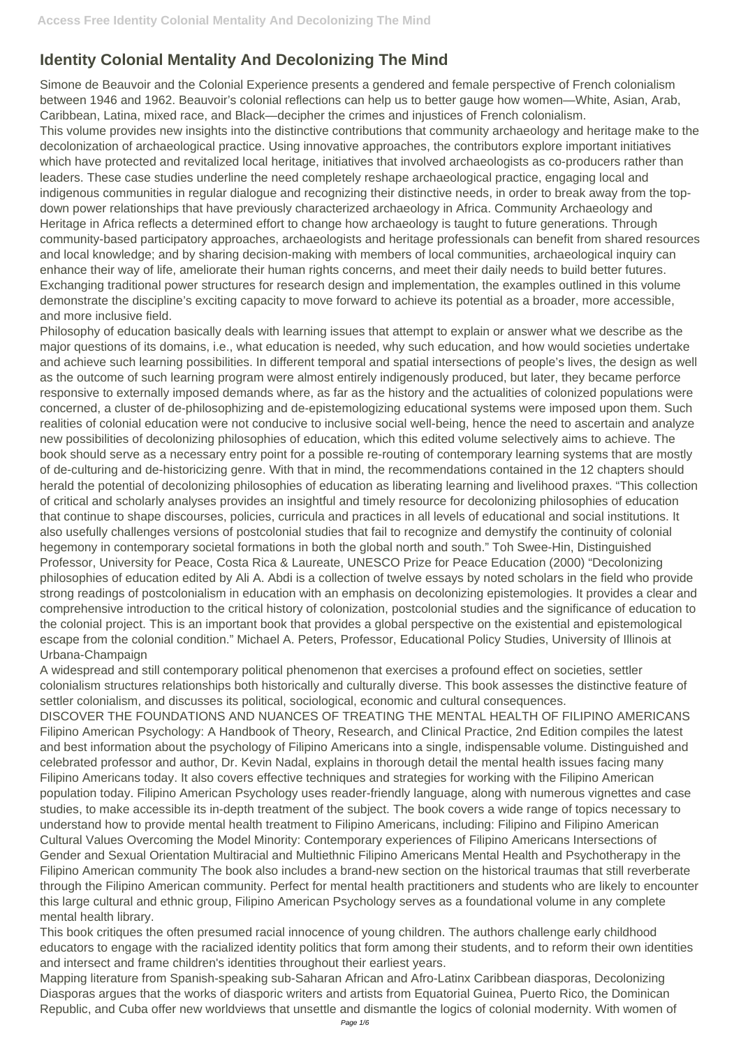## **Identity Colonial Mentality And Decolonizing The Mind**

Simone de Beauvoir and the Colonial Experience presents a gendered and female perspective of French colonialism between 1946 and 1962. Beauvoir's colonial reflections can help us to better gauge how women—White, Asian, Arab, Caribbean, Latina, mixed race, and Black—decipher the crimes and injustices of French colonialism.

This volume provides new insights into the distinctive contributions that community archaeology and heritage make to the decolonization of archaeological practice. Using innovative approaches, the contributors explore important initiatives which have protected and revitalized local heritage, initiatives that involved archaeologists as co-producers rather than leaders. These case studies underline the need completely reshape archaeological practice, engaging local and indigenous communities in regular dialogue and recognizing their distinctive needs, in order to break away from the topdown power relationships that have previously characterized archaeology in Africa. Community Archaeology and Heritage in Africa reflects a determined effort to change how archaeology is taught to future generations. Through community-based participatory approaches, archaeologists and heritage professionals can benefit from shared resources and local knowledge; and by sharing decision-making with members of local communities, archaeological inquiry can enhance their way of life, ameliorate their human rights concerns, and meet their daily needs to build better futures. Exchanging traditional power structures for research design and implementation, the examples outlined in this volume demonstrate the discipline's exciting capacity to move forward to achieve its potential as a broader, more accessible, and more inclusive field.

Philosophy of education basically deals with learning issues that attempt to explain or answer what we describe as the major questions of its domains, i.e., what education is needed, why such education, and how would societies undertake and achieve such learning possibilities. In different temporal and spatial intersections of people's lives, the design as well as the outcome of such learning program were almost entirely indigenously produced, but later, they became perforce responsive to externally imposed demands where, as far as the history and the actualities of colonized populations were concerned, a cluster of de-philosophizing and de-epistemologizing educational systems were imposed upon them. Such realities of colonial education were not conducive to inclusive social well-being, hence the need to ascertain and analyze new possibilities of decolonizing philosophies of education, which this edited volume selectively aims to achieve. The book should serve as a necessary entry point for a possible re-routing of contemporary learning systems that are mostly of de-culturing and de-historicizing genre. With that in mind, the recommendations contained in the 12 chapters should herald the potential of decolonizing philosophies of education as liberating learning and livelihood praxes. "This collection of critical and scholarly analyses provides an insightful and timely resource for decolonizing philosophies of education that continue to shape discourses, policies, curricula and practices in all levels of educational and social institutions. It also usefully challenges versions of postcolonial studies that fail to recognize and demystify the continuity of colonial hegemony in contemporary societal formations in both the global north and south." Toh Swee-Hin, Distinguished Professor, University for Peace, Costa Rica & Laureate, UNESCO Prize for Peace Education (2000) "Decolonizing philosophies of education edited by Ali A. Abdi is a collection of twelve essays by noted scholars in the field who provide strong readings of postcolonialism in education with an emphasis on decolonizing epistemologies. It provides a clear and comprehensive introduction to the critical history of colonization, postcolonial studies and the significance of education to the colonial project. This is an important book that provides a global perspective on the existential and epistemological escape from the colonial condition." Michael A. Peters, Professor, Educational Policy Studies, University of Illinois at Urbana-Champaign

A widespread and still contemporary political phenomenon that exercises a profound effect on societies, settler colonialism structures relationships both historically and culturally diverse. This book assesses the distinctive feature of settler colonialism, and discusses its political, sociological, economic and cultural consequences.

DISCOVER THE FOUNDATIONS AND NUANCES OF TREATING THE MENTAL HEALTH OF FILIPINO AMERICANS Filipino American Psychology: A Handbook of Theory, Research, and Clinical Practice, 2nd Edition compiles the latest and best information about the psychology of Filipino Americans into a single, indispensable volume. Distinguished and celebrated professor and author, Dr. Kevin Nadal, explains in thorough detail the mental health issues facing many Filipino Americans today. It also covers effective techniques and strategies for working with the Filipino American population today. Filipino American Psychology uses reader-friendly language, along with numerous vignettes and case studies, to make accessible its in-depth treatment of the subject. The book covers a wide range of topics necessary to understand how to provide mental health treatment to Filipino Americans, including: Filipino and Filipino American Cultural Values Overcoming the Model Minority: Contemporary experiences of Filipino Americans Intersections of Gender and Sexual Orientation Multiracial and Multiethnic Filipino Americans Mental Health and Psychotherapy in the Filipino American community The book also includes a brand-new section on the historical traumas that still reverberate through the Filipino American community. Perfect for mental health practitioners and students who are likely to encounter this large cultural and ethnic group, Filipino American Psychology serves as a foundational volume in any complete mental health library. This book critiques the often presumed racial innocence of young children. The authors challenge early childhood educators to engage with the racialized identity politics that form among their students, and to reform their own identities and intersect and frame children's identities throughout their earliest years. Mapping literature from Spanish-speaking sub-Saharan African and Afro-Latinx Caribbean diasporas, Decolonizing Diasporas argues that the works of diasporic writers and artists from Equatorial Guinea, Puerto Rico, the Dominican Republic, and Cuba offer new worldviews that unsettle and dismantle the logics of colonial modernity. With women of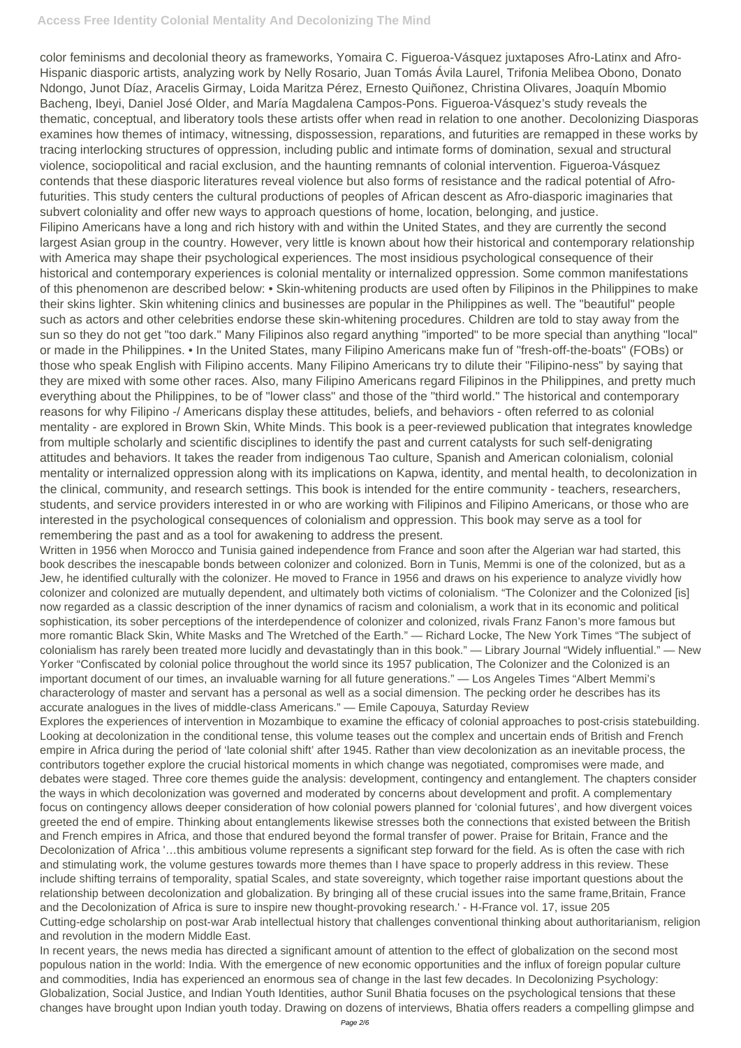## **Access Free Identity Colonial Mentality And Decolonizing The Mind**

color feminisms and decolonial theory as frameworks, Yomaira C. Figueroa-Vásquez juxtaposes Afro-Latinx and Afro-Hispanic diasporic artists, analyzing work by Nelly Rosario, Juan Tomás Ávila Laurel, Trifonia Melibea Obono, Donato Ndongo, Junot Díaz, Aracelis Girmay, Loida Maritza Pérez, Ernesto Quiñonez, Christina Olivares, Joaquín Mbomio Bacheng, Ibeyi, Daniel José Older, and María Magdalena Campos-Pons. Figueroa-Vásquez's study reveals the thematic, conceptual, and liberatory tools these artists offer when read in relation to one another. Decolonizing Diasporas examines how themes of intimacy, witnessing, dispossession, reparations, and futurities are remapped in these works by tracing interlocking structures of oppression, including public and intimate forms of domination, sexual and structural violence, sociopolitical and racial exclusion, and the haunting remnants of colonial intervention. Figueroa-Vásquez contends that these diasporic literatures reveal violence but also forms of resistance and the radical potential of Afrofuturities. This study centers the cultural productions of peoples of African descent as Afro-diasporic imaginaries that subvert coloniality and offer new ways to approach questions of home, location, belonging, and justice. Filipino Americans have a long and rich history with and within the United States, and they are currently the second largest Asian group in the country. However, very little is known about how their historical and contemporary relationship with America may shape their psychological experiences. The most insidious psychological consequence of their historical and contemporary experiences is colonial mentality or internalized oppression. Some common manifestations of this phenomenon are described below: • Skin-whitening products are used often by Filipinos in the Philippines to make their skins lighter. Skin whitening clinics and businesses are popular in the Philippines as well. The "beautiful" people such as actors and other celebrities endorse these skin-whitening procedures. Children are told to stay away from the sun so they do not get "too dark." Many Filipinos also regard anything "imported" to be more special than anything "local" or made in the Philippines. • In the United States, many Filipino Americans make fun of "fresh-off-the-boats" (FOBs) or those who speak English with Filipino accents. Many Filipino Americans try to dilute their "Filipino-ness" by saying that they are mixed with some other races. Also, many Filipino Americans regard Filipinos in the Philippines, and pretty much everything about the Philippines, to be of "lower class" and those of the "third world." The historical and contemporary reasons for why Filipino -/ Americans display these attitudes, beliefs, and behaviors - often referred to as colonial mentality - are explored in Brown Skin, White Minds. This book is a peer-reviewed publication that integrates knowledge from multiple scholarly and scientific disciplines to identify the past and current catalysts for such self-denigrating attitudes and behaviors. It takes the reader from indigenous Tao culture, Spanish and American colonialism, colonial mentality or internalized oppression along with its implications on Kapwa, identity, and mental health, to decolonization in the clinical, community, and research settings. This book is intended for the entire community - teachers, researchers, students, and service providers interested in or who are working with Filipinos and Filipino Americans, or those who are interested in the psychological consequences of colonialism and oppression. This book may serve as a tool for remembering the past and as a tool for awakening to address the present.

Written in 1956 when Morocco and Tunisia gained independence from France and soon after the Algerian war had started, this book describes the inescapable bonds between colonizer and colonized. Born in Tunis, Memmi is one of the colonized, but as a Jew, he identified culturally with the colonizer. He moved to France in 1956 and draws on his experience to analyze vividly how colonizer and colonized are mutually dependent, and ultimately both victims of colonialism. "The Colonizer and the Colonized [is] now regarded as a classic description of the inner dynamics of racism and colonialism, a work that in its economic and political sophistication, its sober perceptions of the interdependence of colonizer and colonized, rivals Franz Fanon's more famous but more romantic Black Skin, White Masks and The Wretched of the Earth." — Richard Locke, The New York Times "The subject of colonialism has rarely been treated more lucidly and devastatingly than in this book." — Library Journal "Widely influential." — New Yorker "Confiscated by colonial police throughout the world since its 1957 publication, The Colonizer and the Colonized is an important document of our times, an invaluable warning for all future generations." — Los Angeles Times "Albert Memmi's characterology of master and servant has a personal as well as a social dimension. The pecking order he describes has its accurate analogues in the lives of middle-class Americans." — Emile Capouya, Saturday Review

Explores the experiences of intervention in Mozambique to examine the efficacy of colonial approaches to post-crisis statebuilding. Looking at decolonization in the conditional tense, this volume teases out the complex and uncertain ends of British and French empire in Africa during the period of 'late colonial shift' after 1945. Rather than view decolonization as an inevitable process, the contributors together explore the crucial historical moments in which change was negotiated, compromises were made, and debates were staged. Three core themes guide the analysis: development, contingency and entanglement. The chapters consider the ways in which decolonization was governed and moderated by concerns about development and profit. A complementary focus on contingency allows deeper consideration of how colonial powers planned for 'colonial futures', and how divergent voices greeted the end of empire. Thinking about entanglements likewise stresses both the connections that existed between the British and French empires in Africa, and those that endured beyond the formal transfer of power. Praise for Britain, France and the Decolonization of Africa '…this ambitious volume represents a significant step forward for the field. As is often the case with rich and stimulating work, the volume gestures towards more themes than I have space to properly address in this review. These include shifting terrains of temporality, spatial Scales, and state sovereignty, which together raise important questions about the relationship between decolonization and globalization. By bringing all of these crucial issues into the same frame,Britain, France and the Decolonization of Africa is sure to inspire new thought-provoking research.' - H-France vol. 17, issue 205 Cutting-edge scholarship on post-war Arab intellectual history that challenges conventional thinking about authoritarianism, religion and revolution in the modern Middle East. In recent years, the news media has directed a significant amount of attention to the effect of globalization on the second most populous nation in the world: India. With the emergence of new economic opportunities and the influx of foreign popular culture and commodities, India has experienced an enormous sea of change in the last few decades. In Decolonizing Psychology: Globalization, Social Justice, and Indian Youth Identities, author Sunil Bhatia focuses on the psychological tensions that these changes have brought upon Indian youth today. Drawing on dozens of interviews, Bhatia offers readers a compelling glimpse and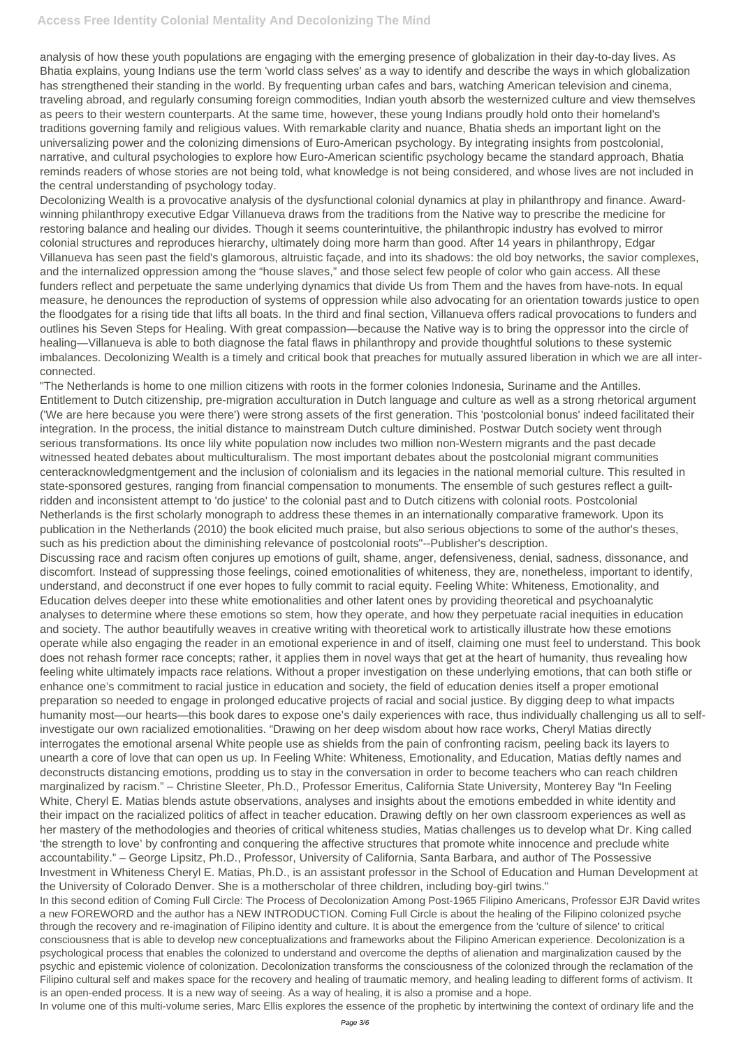analysis of how these youth populations are engaging with the emerging presence of globalization in their day-to-day lives. As Bhatia explains, young Indians use the term 'world class selves' as a way to identify and describe the ways in which globalization has strengthened their standing in the world. By frequenting urban cafes and bars, watching American television and cinema, traveling abroad, and regularly consuming foreign commodities, Indian youth absorb the westernized culture and view themselves as peers to their western counterparts. At the same time, however, these young Indians proudly hold onto their homeland's traditions governing family and religious values. With remarkable clarity and nuance, Bhatia sheds an important light on the universalizing power and the colonizing dimensions of Euro-American psychology. By integrating insights from postcolonial, narrative, and cultural psychologies to explore how Euro-American scientific psychology became the standard approach, Bhatia reminds readers of whose stories are not being told, what knowledge is not being considered, and whose lives are not included in the central understanding of psychology today.

Decolonizing Wealth is a provocative analysis of the dysfunctional colonial dynamics at play in philanthropy and finance. Awardwinning philanthropy executive Edgar Villanueva draws from the traditions from the Native way to prescribe the medicine for restoring balance and healing our divides. Though it seems counterintuitive, the philanthropic industry has evolved to mirror colonial structures and reproduces hierarchy, ultimately doing more harm than good. After 14 years in philanthropy, Edgar Villanueva has seen past the field's glamorous, altruistic façade, and into its shadows: the old boy networks, the savior complexes, and the internalized oppression among the "house slaves," and those select few people of color who gain access. All these funders reflect and perpetuate the same underlying dynamics that divide Us from Them and the haves from have-nots. In equal measure, he denounces the reproduction of systems of oppression while also advocating for an orientation towards justice to open the floodgates for a rising tide that lifts all boats. In the third and final section, Villanueva offers radical provocations to funders and outlines his Seven Steps for Healing. With great compassion—because the Native way is to bring the oppressor into the circle of healing—Villanueva is able to both diagnose the fatal flaws in philanthropy and provide thoughtful solutions to these systemic imbalances. Decolonizing Wealth is a timely and critical book that preaches for mutually assured liberation in which we are all interconnected.

"The Netherlands is home to one million citizens with roots in the former colonies Indonesia, Suriname and the Antilles. Entitlement to Dutch citizenship, pre-migration acculturation in Dutch language and culture as well as a strong rhetorical argument ('We are here because you were there') were strong assets of the first generation. This 'postcolonial bonus' indeed facilitated their integration. In the process, the initial distance to mainstream Dutch culture diminished. Postwar Dutch society went through serious transformations. Its once lily white population now includes two million non-Western migrants and the past decade witnessed heated debates about multiculturalism. The most important debates about the postcolonial migrant communities centeracknowledgmentgement and the inclusion of colonialism and its legacies in the national memorial culture. This resulted in state-sponsored gestures, ranging from financial compensation to monuments. The ensemble of such gestures reflect a guiltridden and inconsistent attempt to 'do justice' to the colonial past and to Dutch citizens with colonial roots. Postcolonial Netherlands is the first scholarly monograph to address these themes in an internationally comparative framework. Upon its publication in the Netherlands (2010) the book elicited much praise, but also serious objections to some of the author's theses, such as his prediction about the diminishing relevance of postcolonial roots"--Publisher's description.

Discussing race and racism often conjures up emotions of guilt, shame, anger, defensiveness, denial, sadness, dissonance, and discomfort. Instead of suppressing those feelings, coined emotionalities of whiteness, they are, nonetheless, important to identify, understand, and deconstruct if one ever hopes to fully commit to racial equity. Feeling White: Whiteness, Emotionality, and Education delves deeper into these white emotionalities and other latent ones by providing theoretical and psychoanalytic analyses to determine where these emotions so stem, how they operate, and how they perpetuate racial inequities in education and society. The author beautifully weaves in creative writing with theoretical work to artistically illustrate how these emotions operate while also engaging the reader in an emotional experience in and of itself, claiming one must feel to understand. This book does not rehash former race concepts; rather, it applies them in novel ways that get at the heart of humanity, thus revealing how feeling white ultimately impacts race relations. Without a proper investigation on these underlying emotions, that can both stifle or enhance one's commitment to racial justice in education and society, the field of education denies itself a proper emotional preparation so needed to engage in prolonged educative projects of racial and social justice. By digging deep to what impacts humanity most—our hearts—this book dares to expose one's daily experiences with race, thus individually challenging us all to selfinvestigate our own racialized emotionalities. "Drawing on her deep wisdom about how race works, Cheryl Matias directly interrogates the emotional arsenal White people use as shields from the pain of confronting racism, peeling back its layers to unearth a core of love that can open us up. In Feeling White: Whiteness, Emotionality, and Education, Matias deftly names and deconstructs distancing emotions, prodding us to stay in the conversation in order to become teachers who can reach children marginalized by racism." – Christine Sleeter, Ph.D., Professor Emeritus, California State University, Monterey Bay "In Feeling White, Cheryl E. Matias blends astute observations, analyses and insights about the emotions embedded in white identity and their impact on the racialized politics of affect in teacher education. Drawing deftly on her own classroom experiences as well as her mastery of the methodologies and theories of critical whiteness studies, Matias challenges us to develop what Dr. King called 'the strength to love' by confronting and conquering the affective structures that promote white innocence and preclude white accountability." – George Lipsitz, Ph.D., Professor, University of California, Santa Barbara, and author of The Possessive Investment in Whiteness Cheryl E. Matias, Ph.D., is an assistant professor in the School of Education and Human Development at the University of Colorado Denver. She is a motherscholar of three children, including boy-girl twins." In this second edition of Coming Full Circle: The Process of Decolonization Among Post-1965 Filipino Americans, Professor EJR David writes a new FOREWORD and the author has a NEW INTRODUCTION. Coming Full Circle is about the healing of the Filipino colonized psyche through the recovery and re-imagination of Filipino identity and culture. It is about the emergence from the 'culture of silence' to critical consciousness that is able to develop new conceptualizations and frameworks about the Filipino American experience. Decolonization is a psychological process that enables the colonized to understand and overcome the depths of alienation and marginalization caused by the psychic and epistemic violence of colonization. Decolonization transforms the consciousness of the colonized through the reclamation of the Filipino cultural self and makes space for the recovery and healing of traumatic memory, and healing leading to different forms of activism. It is an open-ended process. It is a new way of seeing. As a way of healing, it is also a promise and a hope. In volume one of this multi-volume series, Marc Ellis explores the essence of the prophetic by intertwining the context of ordinary life and the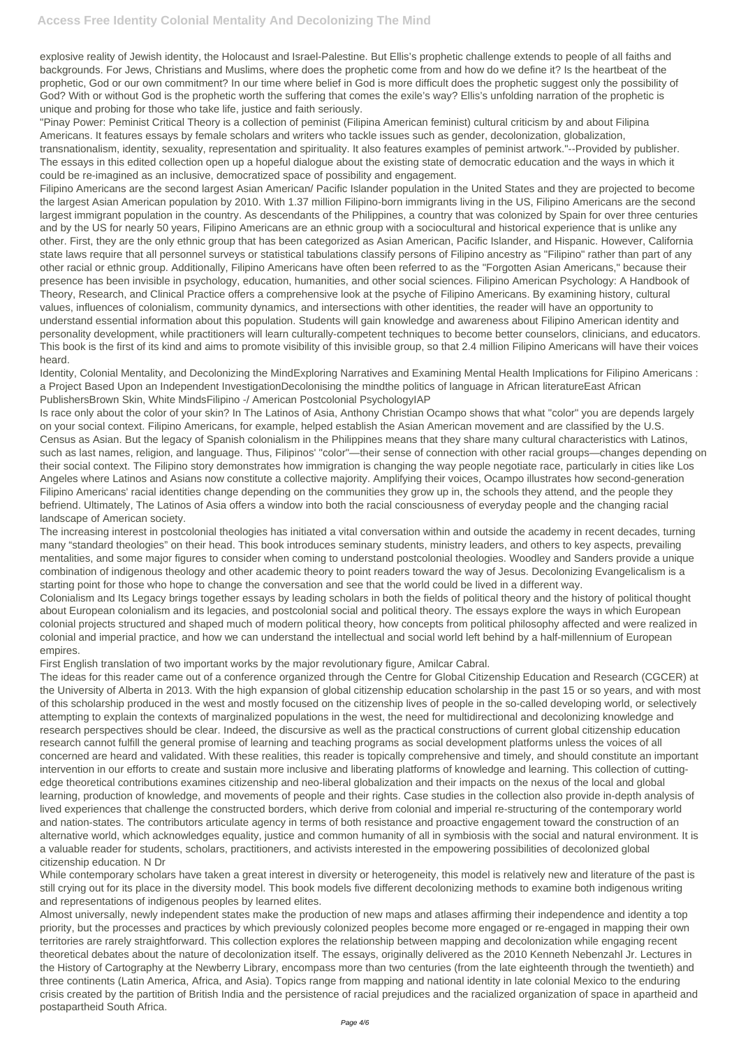explosive reality of Jewish identity, the Holocaust and Israel-Palestine. But Ellis's prophetic challenge extends to people of all faiths and backgrounds. For Jews, Christians and Muslims, where does the prophetic come from and how do we define it? Is the heartbeat of the prophetic, God or our own commitment? In our time where belief in God is more difficult does the prophetic suggest only the possibility of God? With or without God is the prophetic worth the suffering that comes the exile's way? Ellis's unfolding narration of the prophetic is unique and probing for those who take life, justice and faith seriously.

"Pinay Power: Peminist Critical Theory is a collection of peminist (Filipina American feminist) cultural criticism by and about Filipina Americans. It features essays by female scholars and writers who tackle issues such as gender, decolonization, globalization, transnationalism, identity, sexuality, representation and spirituality. It also features examples of peminist artwork."--Provided by publisher. The essays in this edited collection open up a hopeful dialogue about the existing state of democratic education and the ways in which it could be re-imagined as an inclusive, democratized space of possibility and engagement.

Filipino Americans are the second largest Asian American/ Pacific Islander population in the United States and they are projected to become the largest Asian American population by 2010. With 1.37 million Filipino-born immigrants living in the US, Filipino Americans are the second largest immigrant population in the country. As descendants of the Philippines, a country that was colonized by Spain for over three centuries and by the US for nearly 50 years, Filipino Americans are an ethnic group with a sociocultural and historical experience that is unlike any other. First, they are the only ethnic group that has been categorized as Asian American, Pacific Islander, and Hispanic. However, California state laws require that all personnel surveys or statistical tabulations classify persons of Filipino ancestry as "Filipino" rather than part of any other racial or ethnic group. Additionally, Filipino Americans have often been referred to as the "Forgotten Asian Americans," because their presence has been invisible in psychology, education, humanities, and other social sciences. Filipino American Psychology: A Handbook of Theory, Research, and Clinical Practice offers a comprehensive look at the psyche of Filipino Americans. By examining history, cultural values, influences of colonialism, community dynamics, and intersections with other identities, the reader will have an opportunity to understand essential information about this population. Students will gain knowledge and awareness about Filipino American identity and personality development, while practitioners will learn culturally-competent techniques to become better counselors, clinicians, and educators. This book is the first of its kind and aims to promote visibility of this invisible group, so that 2.4 million Filipino Americans will have their voices heard.

Identity, Colonial Mentality, and Decolonizing the MindExploring Narratives and Examining Mental Health Implications for Filipino Americans : a Project Based Upon an Independent InvestigationDecolonising the mindthe politics of language in African literatureEast African PublishersBrown Skin, White MindsFilipino -/ American Postcolonial PsychologyIAP

Is race only about the color of your skin? In The Latinos of Asia, Anthony Christian Ocampo shows that what "color" you are depends largely on your social context. Filipino Americans, for example, helped establish the Asian American movement and are classified by the U.S. Census as Asian. But the legacy of Spanish colonialism in the Philippines means that they share many cultural characteristics with Latinos, such as last names, religion, and language. Thus, Filipinos' "color"—their sense of connection with other racial groups—changes depending on their social context. The Filipino story demonstrates how immigration is changing the way people negotiate race, particularly in cities like Los Angeles where Latinos and Asians now constitute a collective majority. Amplifying their voices, Ocampo illustrates how second-generation Filipino Americans' racial identities change depending on the communities they grow up in, the schools they attend, and the people they befriend. Ultimately, The Latinos of Asia offers a window into both the racial consciousness of everyday people and the changing racial landscape of American society.

The increasing interest in postcolonial theologies has initiated a vital conversation within and outside the academy in recent decades, turning many "standard theologies" on their head. This book introduces seminary students, ministry leaders, and others to key aspects, prevailing mentalities, and some major figures to consider when coming to understand postcolonial theologies. Woodley and Sanders provide a unique combination of indigenous theology and other academic theory to point readers toward the way of Jesus. Decolonizing Evangelicalism is a starting point for those who hope to change the conversation and see that the world could be lived in a different way.

Colonialism and Its Legacy brings together essays by leading scholars in both the fields of political theory and the history of political thought about European colonialism and its legacies, and postcolonial social and political theory. The essays explore the ways in which European colonial projects structured and shaped much of modern political theory, how concepts from political philosophy affected and were realized in colonial and imperial practice, and how we can understand the intellectual and social world left behind by a half-millennium of European empires.

First English translation of two important works by the major revolutionary figure, Amilcar Cabral.

The ideas for this reader came out of a conference organized through the Centre for Global Citizenship Education and Research (CGCER) at the University of Alberta in 2013. With the high expansion of global citizenship education scholarship in the past 15 or so years, and with most of this scholarship produced in the west and mostly focused on the citizenship lives of people in the so-called developing world, or selectively attempting to explain the contexts of marginalized populations in the west, the need for multidirectional and decolonizing knowledge and research perspectives should be clear. Indeed, the discursive as well as the practical constructions of current global citizenship education research cannot fulfill the general promise of learning and teaching programs as social development platforms unless the voices of all concerned are heard and validated. With these realities, this reader is topically comprehensive and timely, and should constitute an important intervention in our efforts to create and sustain more inclusive and liberating platforms of knowledge and learning. This collection of cuttingedge theoretical contributions examines citizenship and neo-liberal globalization and their impacts on the nexus of the local and global learning, production of knowledge, and movements of people and their rights. Case studies in the collection also provide in-depth analysis of lived experiences that challenge the constructed borders, which derive from colonial and imperial re-structuring of the contemporary world and nation-states. The contributors articulate agency in terms of both resistance and proactive engagement toward the construction of an alternative world, which acknowledges equality, justice and common humanity of all in symbiosis with the social and natural environment. It is a valuable reader for students, scholars, practitioners, and activists interested in the empowering possibilities of decolonized global citizenship education. N Dr

While contemporary scholars have taken a great interest in diversity or heterogeneity, this model is relatively new and literature of the past is still crying out for its place in the diversity model. This book models five different decolonizing methods to examine both indigenous writing and representations of indigenous peoples by learned elites.

Almost universally, newly independent states make the production of new maps and atlases affirming their independence and identity a top priority, but the processes and practices by which previously colonized peoples become more engaged or re-engaged in mapping their own territories are rarely straightforward. This collection explores the relationship between mapping and decolonization while engaging recent theoretical debates about the nature of decolonization itself. The essays, originally delivered as the 2010 Kenneth Nebenzahl Jr. Lectures in the History of Cartography at the Newberry Library, encompass more than two centuries (from the late eighteenth through the twentieth) and three continents (Latin America, Africa, and Asia). Topics range from mapping and national identity in late colonial Mexico to the enduring crisis created by the partition of British India and the persistence of racial prejudices and the racialized organization of space in apartheid and postapartheid South Africa.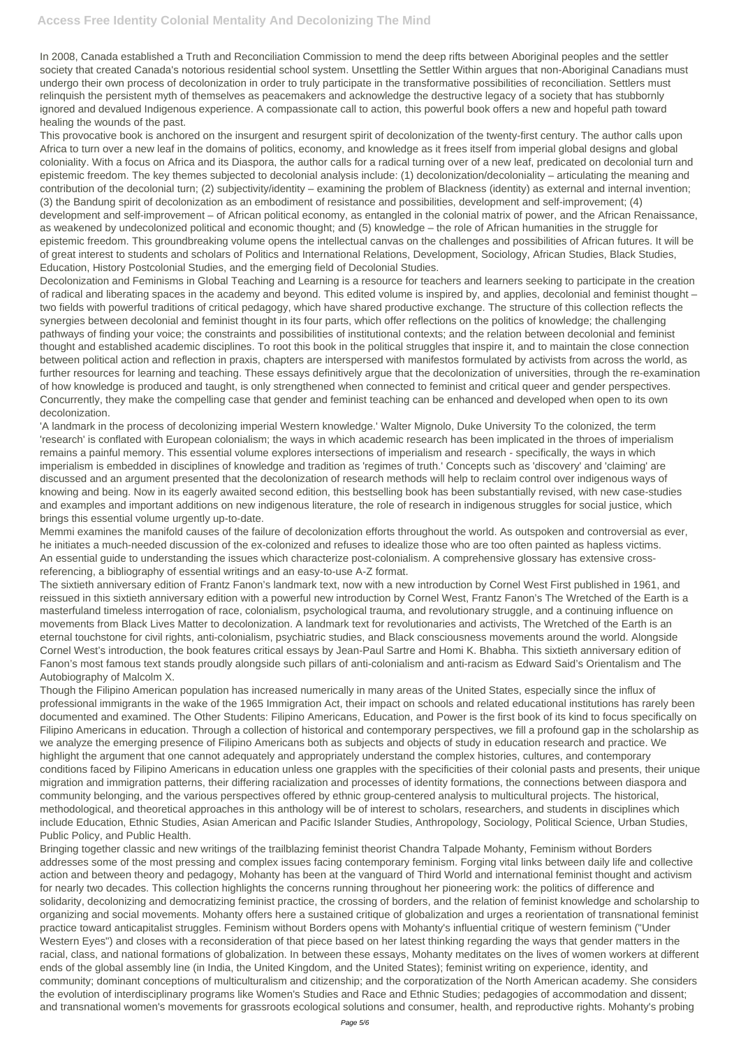In 2008, Canada established a Truth and Reconciliation Commission to mend the deep rifts between Aboriginal peoples and the settler society that created Canada's notorious residential school system. Unsettling the Settler Within argues that non-Aboriginal Canadians must undergo their own process of decolonization in order to truly participate in the transformative possibilities of reconciliation. Settlers must relinquish the persistent myth of themselves as peacemakers and acknowledge the destructive legacy of a society that has stubbornly ignored and devalued Indigenous experience. A compassionate call to action, this powerful book offers a new and hopeful path toward healing the wounds of the past.

This provocative book is anchored on the insurgent and resurgent spirit of decolonization of the twenty-first century. The author calls upon Africa to turn over a new leaf in the domains of politics, economy, and knowledge as it frees itself from imperial global designs and global coloniality. With a focus on Africa and its Diaspora, the author calls for a radical turning over of a new leaf, predicated on decolonial turn and epistemic freedom. The key themes subjected to decolonial analysis include: (1) decolonization/decoloniality – articulating the meaning and contribution of the decolonial turn; (2) subjectivity/identity – examining the problem of Blackness (identity) as external and internal invention; (3) the Bandung spirit of decolonization as an embodiment of resistance and possibilities, development and self-improvement; (4) development and self-improvement – of African political economy, as entangled in the colonial matrix of power, and the African Renaissance, as weakened by undecolonized political and economic thought; and (5) knowledge – the role of African humanities in the struggle for epistemic freedom. This groundbreaking volume opens the intellectual canvas on the challenges and possibilities of African futures. It will be of great interest to students and scholars of Politics and International Relations, Development, Sociology, African Studies, Black Studies, Education, History Postcolonial Studies, and the emerging field of Decolonial Studies.

Decolonization and Feminisms in Global Teaching and Learning is a resource for teachers and learners seeking to participate in the creation of radical and liberating spaces in the academy and beyond. This edited volume is inspired by, and applies, decolonial and feminist thought – two fields with powerful traditions of critical pedagogy, which have shared productive exchange. The structure of this collection reflects the synergies between decolonial and feminist thought in its four parts, which offer reflections on the politics of knowledge; the challenging pathways of finding your voice; the constraints and possibilities of institutional contexts; and the relation between decolonial and feminist thought and established academic disciplines. To root this book in the political struggles that inspire it, and to maintain the close connection between political action and reflection in praxis, chapters are interspersed with manifestos formulated by activists from across the world, as further resources for learning and teaching. These essays definitively argue that the decolonization of universities, through the re-examination of how knowledge is produced and taught, is only strengthened when connected to feminist and critical queer and gender perspectives. Concurrently, they make the compelling case that gender and feminist teaching can be enhanced and developed when open to its own decolonization.

'A landmark in the process of decolonizing imperial Western knowledge.' Walter Mignolo, Duke University To the colonized, the term 'research' is conflated with European colonialism; the ways in which academic research has been implicated in the throes of imperialism remains a painful memory. This essential volume explores intersections of imperialism and research - specifically, the ways in which imperialism is embedded in disciplines of knowledge and tradition as 'regimes of truth.' Concepts such as 'discovery' and 'claiming' are discussed and an argument presented that the decolonization of research methods will help to reclaim control over indigenous ways of knowing and being. Now in its eagerly awaited second edition, this bestselling book has been substantially revised, with new case-studies and examples and important additions on new indigenous literature, the role of research in indigenous struggles for social justice, which brings this essential volume urgently up-to-date.

Memmi examines the manifold causes of the failure of decolonization efforts throughout the world. As outspoken and controversial as ever, he initiates a much-needed discussion of the ex-colonized and refuses to idealize those who are too often painted as hapless victims. An essential guide to understanding the issues which characterize post-colonialism. A comprehensive glossary has extensive crossreferencing, a bibliography of essential writings and an easy-to-use A-Z format.

The sixtieth anniversary edition of Frantz Fanon's landmark text, now with a new introduction by Cornel West First published in 1961, and reissued in this sixtieth anniversary edition with a powerful new introduction by Cornel West, Frantz Fanon's The Wretched of the Earth is a masterfuland timeless interrogation of race, colonialism, psychological trauma, and revolutionary struggle, and a continuing influence on movements from Black Lives Matter to decolonization. A landmark text for revolutionaries and activists, The Wretched of the Earth is an eternal touchstone for civil rights, anti-colonialism, psychiatric studies, and Black consciousness movements around the world. Alongside Cornel West's introduction, the book features critical essays by Jean-Paul Sartre and Homi K. Bhabha. This sixtieth anniversary edition of Fanon's most famous text stands proudly alongside such pillars of anti-colonialism and anti-racism as Edward Said's Orientalism and The Autobiography of Malcolm X.

Though the Filipino American population has increased numerically in many areas of the United States, especially since the influx of professional immigrants in the wake of the 1965 Immigration Act, their impact on schools and related educational institutions has rarely been documented and examined. The Other Students: Filipino Americans, Education, and Power is the first book of its kind to focus specifically on Filipino Americans in education. Through a collection of historical and contemporary perspectives, we fill a profound gap in the scholarship as we analyze the emerging presence of Filipino Americans both as subjects and objects of study in education research and practice. We highlight the argument that one cannot adequately and appropriately understand the complex histories, cultures, and contemporary conditions faced by Filipino Americans in education unless one grapples with the specificities of their colonial pasts and presents, their unique migration and immigration patterns, their differing racialization and processes of identity formations, the connections between diaspora and

community belonging, and the various perspectives offered by ethnic group-centered analysis to multicultural projects. The historical, methodological, and theoretical approaches in this anthology will be of interest to scholars, researchers, and students in disciplines which include Education, Ethnic Studies, Asian American and Pacific Islander Studies, Anthropology, Sociology, Political Science, Urban Studies, Public Policy, and Public Health.

Bringing together classic and new writings of the trailblazing feminist theorist Chandra Talpade Mohanty, Feminism without Borders addresses some of the most pressing and complex issues facing contemporary feminism. Forging vital links between daily life and collective action and between theory and pedagogy, Mohanty has been at the vanguard of Third World and international feminist thought and activism for nearly two decades. This collection highlights the concerns running throughout her pioneering work: the politics of difference and solidarity, decolonizing and democratizing feminist practice, the crossing of borders, and the relation of feminist knowledge and scholarship to organizing and social movements. Mohanty offers here a sustained critique of globalization and urges a reorientation of transnational feminist practice toward anticapitalist struggles. Feminism without Borders opens with Mohanty's influential critique of western feminism ("Under Western Eyes") and closes with a reconsideration of that piece based on her latest thinking regarding the ways that gender matters in the racial, class, and national formations of globalization. In between these essays, Mohanty meditates on the lives of women workers at different ends of the global assembly line (in India, the United Kingdom, and the United States); feminist writing on experience, identity, and community; dominant conceptions of multiculturalism and citizenship; and the corporatization of the North American academy. She considers the evolution of interdisciplinary programs like Women's Studies and Race and Ethnic Studies; pedagogies of accommodation and dissent; and transnational women's movements for grassroots ecological solutions and consumer, health, and reproductive rights. Mohanty's probing